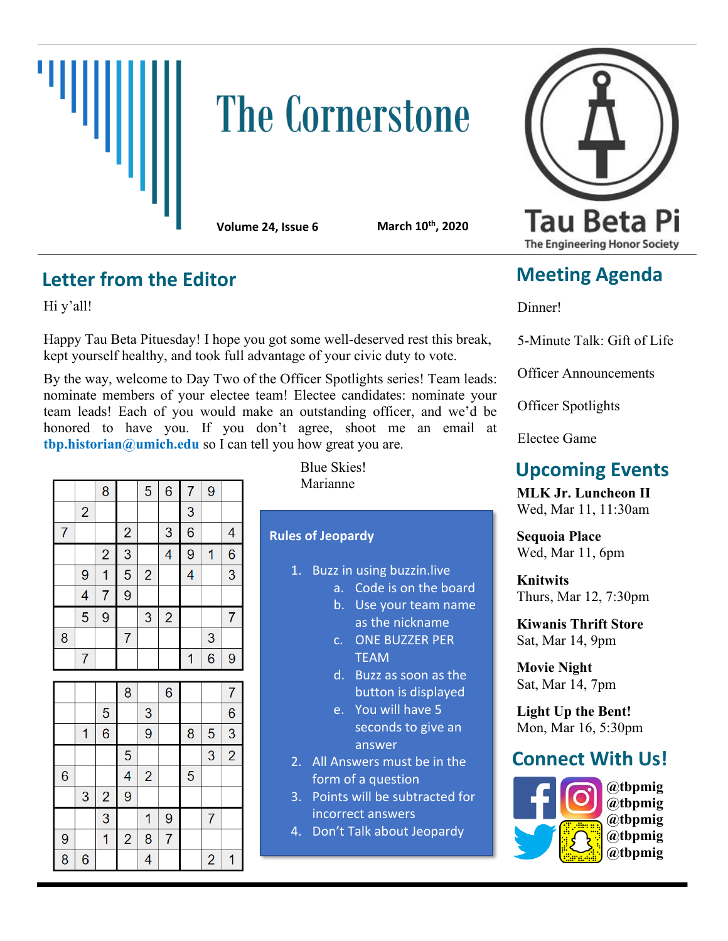

# **The Cornerstone**

**Volume 24, Issue 6 March 10th, 2020**

#### **Letter from the Editor**

Hi y'all!

Happy Tau Beta Pituesday! I hope you got some well-deserved rest this break, kept yourself healthy, and took full advantage of your civic duty to vote.

By the way, welcome to Day Two of the Officer Spotlights series! Team leads: nominate members of your electee team! Electee candidates: nominate your team leads! Each of you would make an outstanding officer, and we'd be honored to have you. If you don't agree, shoot me an email at **tbp.historian@umich.edu** so I can tell you how great you are.

|                |                | 8              |                         | 5              | 6              | $\overline{7}$ | 9 |                |
|----------------|----------------|----------------|-------------------------|----------------|----------------|----------------|---|----------------|
|                | $\overline{2}$ |                |                         |                |                | 3              |   |                |
| $\overline{7}$ |                |                | $\overline{\mathbf{c}}$ |                | 3              | 6              |   | 4              |
|                |                | $\overline{c}$ | 3                       |                | 4              | 9              | 1 | 6              |
|                | 9              |                | 5                       | $\overline{2}$ |                | $\overline{4}$ |   | $\overline{3}$ |
|                | 4              | 7              | 9                       |                |                |                |   |                |
|                | 5              | 9              |                         | 3              | $\overline{2}$ |                |   | 7              |
| 8              |                |                | $\overline{7}$          |                |                |                | 3 |                |
|                | 7              |                |                         |                |                | 1              | 6 | 9              |

|                |   |                | 8              |                | $\overline{6}$ |   |                | 7              |
|----------------|---|----------------|----------------|----------------|----------------|---|----------------|----------------|
|                |   | 5              |                | 3              |                |   |                | 6              |
|                | 1 | $\overline{6}$ |                | 9              |                | 8 | 5              | 3              |
|                |   |                | 5              |                |                |   | 3              | $\overline{2}$ |
| $\overline{6}$ |   |                | 4              | $\overline{2}$ |                | 5 |                |                |
|                | 3 | $\overline{2}$ | 9              |                |                |   |                |                |
|                |   | 3              |                | 1              | 9              |   | 7              |                |
| 9              |   | 1              | $\overline{c}$ | 8              | 7              |   |                |                |
| 8              | 6 |                |                | 4              |                |   | $\overline{2}$ | 1              |

Blue Skies! Marianne

#### **Rules of Jeopardy**

- 1. Buzz in using buzzin.live
	- a. Code is on the board
	- b. Use your team name as the nickname
	- c. ONE BUZZER PER **TEAM**
	- d. Buzz as soon as the button is displayed
	- e. You will have 5 seconds to give an answer
- 2. All Answers must be in the form of a question
- 3. Points will be subtracted for incorrect answers
- 4. Don't Talk about Jeopardy



The Engineering Honor Society

# **Meeting Agenda**

Dinner!

5-Minute Talk: Gift of Life

Officer Announcements

Officer Spotlights

Electee Game

## **Upcoming Events**

**MLK Jr. Luncheon II** Wed, Mar 11, 11:30am

**Sequoia Place** Wed, Mar 11, 6pm

**Knitwits** Thurs, Mar 12, 7:30pm

**Kiwanis Thrift Store** Sat, Mar 14, 9pm

**Movie Night** Sat, Mar 14, 7pm

**Light Up the Bent!** Mon, Mar 16, 5:30pm

## **Connect With Us!**